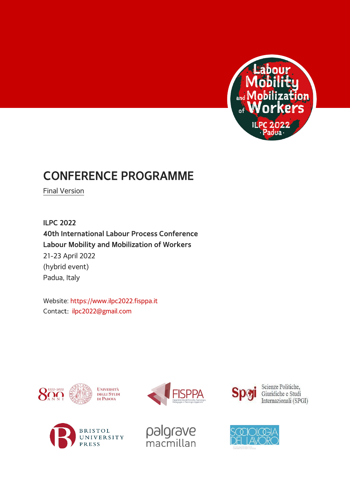

# **CONFERENCE PROGRAMME**

Final Version

**ILPC 2022 40th International Labour Process Conference Labour Mobility and Mobilization of Workers** 21-23 April 2022 (hybrid event) Padua, Italy

Website: [https://www.ilpc2022.fisppa.it](https://www.ilpc2022.fisppa.it/) Contact: [ilpc2022@gmail.com](mailto:ilpc2022@gmail.com)







palgrave<br>macmillan



Scienze Politiche, Giuridiche e Studi Internazionali (SPGI)

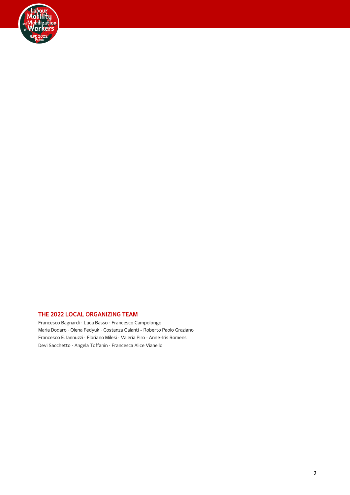

### **THE 2022 LOCAL ORGANIZING TEAM**

Francesco Bagnardi · Luca Basso · Francesco Campolongo Maria Dodaro · Olena Fedyuk · Costanza Galanti - Roberto Paolo Graziano Francesco E. Iannuzzi · Floriano Milesi · Valeria Piro · Anne-Iris Romens Devi Sacchetto · Angela Toffanin · Francesca Alice Vianello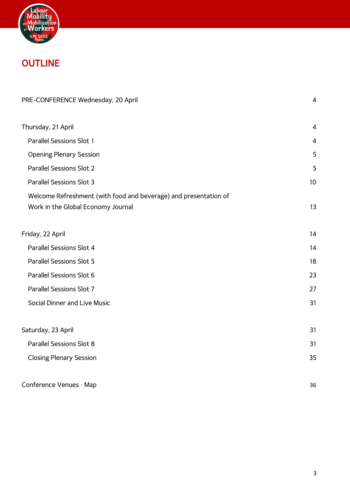

# **OUTLINE**

| PRE-CONFERENCE Wednesday, 20 April                                                                     |                |
|--------------------------------------------------------------------------------------------------------|----------------|
| Thursday, 21 April                                                                                     | $\overline{4}$ |
| <b>Parallel Sessions Slot 1</b>                                                                        | 4              |
| <b>Opening Plenary Session</b>                                                                         | 5              |
| <b>Parallel Sessions Slot 2</b>                                                                        | 5              |
| <b>Parallel Sessions Slot 3</b>                                                                        | 10             |
| Welcome Refreshment (with food and beverage) and presentation of<br>Work in the Global Economy Journal | 13             |
| Friday, 22 April                                                                                       | 14             |
| Parallel Sessions Slot 4                                                                               | 14             |
| <b>Parallel Sessions Slot 5</b>                                                                        | 18             |
| Parallel Sessions Slot 6                                                                               | 23             |
| Parallel Sessions Slot 7                                                                               | 27             |
| Social Dinner and Live Music                                                                           | 31             |
| Saturday, 23 April                                                                                     | 31             |
| <b>Parallel Sessions Slot 8</b>                                                                        | 31             |
| <b>Closing Plenary Session</b>                                                                         | 35             |
| Conference Venues · Map                                                                                | 36             |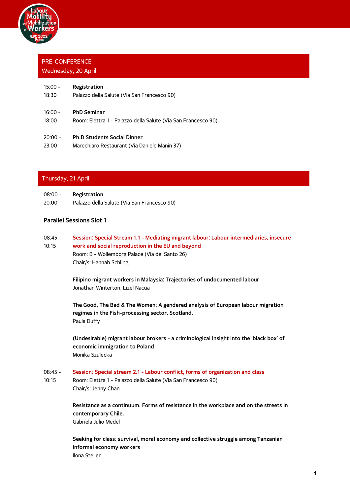

## <span id="page-3-0"></span>PRE-CONFERENCE Wednesday, 20 April

| $15:00 -$ | Registration                                                  |
|-----------|---------------------------------------------------------------|
| 18:30     | Palazzo della Salute (Via San Francesco 90)                   |
| $16:00 -$ | <b>PhD Seminar</b>                                            |
| 18:00     | Room: Elettra 1 - Palazzo della Salute (Via San Francesco 90) |
| $20:00 -$ | <b>Ph.D Students Social Dinner</b>                            |
| 23:00     | Marechiaro Restaurant (Via Daniele Manin 37)                  |

## <span id="page-3-1"></span>Thursday, 21 April

| $08:00 -$ | Registration                                |
|-----------|---------------------------------------------|
| 20:00     | Palazzo della Salute (Via San Francesco 90) |

## <span id="page-3-2"></span>**Parallel Sessions Slot 1**

- 08:45 10:15 **Session: Special Stream 1.1 - Mediating migrant labour: Labour intermediaries, insecure work and social reproduction in the EU and beyond**
	- Room: B Wollemborg Palace (Via del Santo 26) Chair/s: Hannah Schling

**Filipino migrant workers in Malaysia: Trajectories of undocumented labour** Jonathan Winterton, Lizel Nacua

**The Good, The Bad & The Women: A gendered analysis of European labour migration regimes in the Fish-processing sector, Scotland.** Paula Duffy

**(Undesirable) migrant labour brokers - a criminological insight into the 'black box' of economic immigration to Poland** Monika Szulecka

- $08:45 -$ **Session: Special stream 2.1 - Labour conflict, forms of organization and class**
- 10:15 Room: Elettra 1 - Palazzo della Salute (Via San Francesco 90) Chair/s: Jenny Chan

**Resistance as a continuum. Forms of resistance in the workplace and on the streets in contemporary Chile.** Gabriela Julio Medel

**Seeking for class: survival, moral economy and collective struggle among Tanzanian informal economy workers** Ilona Steiler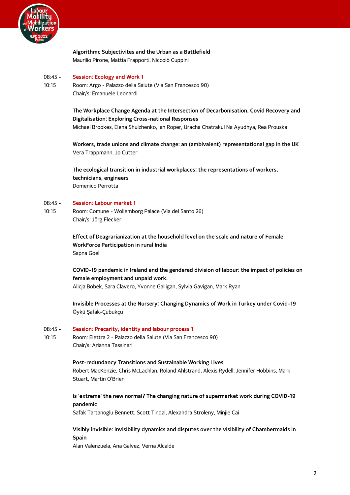

## **Algorithmc Subjectivites and the Urban as a Battlefield** Maurilio Pirone, Mattia Frapporti, Niccolò Cuppini

#### 08:45 - **Session: Ecology and Work 1**

10:15 Room: Argo - Palazzo della Salute (Via San Francesco 90) Chair/s: Emanuele Leonardi

## **The Workplace Change Agenda at the Intersection of Decarbonisation, Covid Recovery and Digitalisation: Exploring Cross-national Responses**

Michael Brookes, Elena Shulzhenko, Ian Roper, Uracha Chatrakul Na Ayudhya, Rea Prouska

**Workers, trade unions and climate change: an (ambivalent) representational gap in the UK** Vera Trappmann, Jo Cutter

**The ecological transition in industrial workplaces: the representations of workers, technicians, engineers** Domenico Perrotta

#### 08:45 - **Session: Labour market 1**

10:15 Room: Comune - Wollemborg Palace (Via del Santo 26) Chair/s: Jörg Flecker

> **Effect of Deagrarianization at the household level on the scale and nature of Female WorkForce Participation in rural India** Sapna Goel

**COVID-19 pandemic in Ireland and the gendered division of labour: the impact of policies on female employment and unpaid work.**

Alicja Bobek, Sara Clavero, Yvonne Galligan, Sylvia Gavigan, Mark Ryan

**Invisible Processes at the Nursery: Changing Dynamics of Work in Turkey under Covid-19** Öykü Şafak-Çubukçu

#### $08.45 -$ **Session: Precarity, identity and labour process 1**

10:15 Room: Elettra 2 - Palazzo della Salute (Via San Francesco 90) Chair/s: Arianna Tassinari

> **Post-redundancy Transitions and Sustainable Working Lives** Robert MacKenzie, Chris McLachlan, Roland Ahlstrand, Alexis Rydell, Jennifer Hobbins, Mark Stuart, Martin O'Brien

**Is 'extreme' the new normal? The changing nature of supermarket work during COVID-19 pandemic**

Safak Tartanoglu Bennett, Scott Tindal, Alexandra Stroleny, Minjie Cai

**Visibly invisible: invisibility dynamics and disputes over the visibility of Chambermaids in Spain**

Alan Valenzuela, Ana Galvez, Verna Alcalde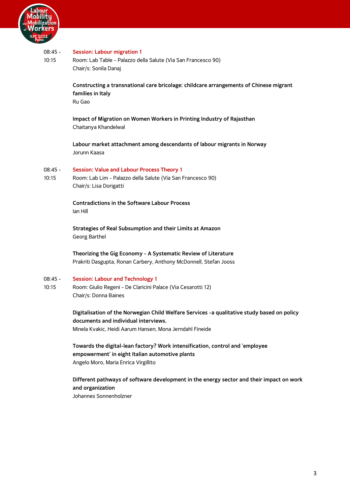

#### 08:45 - **Session: Labour migration 1**

10:15 Room: Lab Table - Palazzo della Salute (Via San Francesco 90) Chair/s: Sonila Danaj

> **Constructing a transnational care bricolage: childcare arrangements of Chinese migrant families in Italy** Ru Gao

**Impact of Migration on Women Workers in Printing Industry of Rajasthan** Chaitanya Khandelwal

**Labour market attachment among descendants of labour migrants in Norway** Jorunn Kaasa

#### 08:45 - **Session: Value and Labour Process Theory 1**

10:15 Room: Lab Lim - Palazzo della Salute (Via San Francesco 90) Chair/s: Lisa Dorigatti

> **Contradictions in the Software Labour Process** Ian Hill

**Strategies of Real Subsumption and their Limits at Amazon** Georg Barthel

**Theorizing the Gig Economy - A Systematic Review of Literature** Prakriti Dasgupta, Ronan Carbery, Anthony McDonnell, Stefan Jooss

#### 08:45 - **Session: Labour and Technology 1**

10:15 Room: Giulio Regeni - De Claricini Palace (Via Cesarotti 12) Chair/s: Donna Baines

> **Digitalisation of the Norwegian Child Welfare Services -a qualitative study based on policy documents and individual interviews.** Minela Kvakic, Heidi Aarum Hansen, Mona Jerndahl Fineide

**Towards the digital-lean factory? Work intensification, control and 'employee empowerment' in eight Italian automotive plants** Angelo Moro, Maria Enrica Virgillito

**Different pathways of software development in the energy sector and their impact on work and organization**

Johannes Sonnenholzner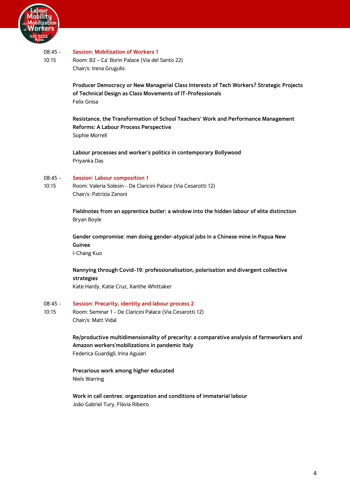

#### 08:45 - **Session: Mobilization of Workers 1**

10:15 Room: B2 – Ca' Borin Palace (Via del Santo 22) Chair/s: Irena Grugulis

> **Producer Democracy or New Managerial Class Interests of Tech Workers? Strategic Projects of Technical Design as Class Movements of IT-Professionals** Felix Gnisa

**Resistance, the Transformation of School Teachers' Work and Performance Management Reforms: A Labour Process Perspective** Sophie Morrell

**Labour processes and worker's politics in contemporary Bollywood** Priyanka Das

#### 08:45 - **Session: Labour composition 1**

10:15 Room: Valeria Solesin - De Claricini Palace (Via Cesarotti 12) Chair/s: Patrizia Zanoni

> **Fieldnotes from an apprentice butler: a window into the hidden labour of elite distinction** Bryan Boyle

**Gender compromise: men doing gender-atypical jobs in a Chinese mine in Papua New Guinea** I-Chang Kuo

**Nannying through Covid-19: professionalisation, polarisation and divergent collective strategies** Kate Hardy, Katie Cruz, Xanthe Whittaker

#### 08:45 - **Session: Precarity, identity and labour process 2**

10:15 Room: Seminar 1 - De Claricini Palace (Via Cesarotti 12) Chair/s: Matt Vidal

> **Re/productive multidimensionality of precarity: a comparative analysis of farmworkers and Amazon workers'mobilizations in pandemic Italy** Federica Guardigli, Irina Aguiari

**Precarious work among higher educated** Niels Warring

**Work in call centres: organization and conditions of immaterial labour** João Gabriel Tury, Flávia Ribeiro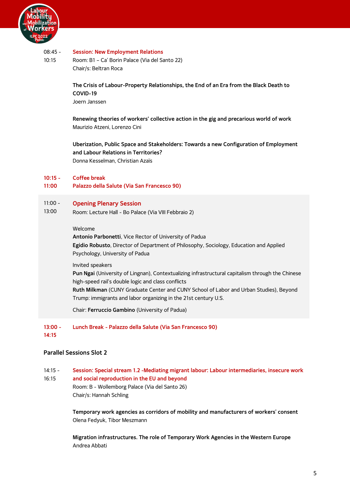

#### 08:45 - **Session: New Employment Relations**

10:15 Room: B1 – Ca' Borin Palace (Via del Santo 22) Chair/s: Beltran Roca

> **The Crisis of Labour-Property Relationships, the End of an Era from the Black Death to COVID-19** Joern Janssen

> **Renewing theories of workers' collective action in the gig and precarious world of work** Maurizio Atzeni, Lorenzo Cini

**Uberization, Public Space and Stakeholders: Towards a new Configuration of Employment and Labour Relations in Territories?** Donna Kesselman, Christian Azaïs

#### **10:15 - Coffee break**

**11:00 Palazzo della Salute (Via San Francesco 90)**

#### 11:00 - **Opening Plenary Session**

13:00 Room: Lecture Hall - Bo Palace (Via VIII Febbraio 2)

### <span id="page-7-0"></span>Welcome

**Antonio Parbonetti**, Vice Rector of University of Padua **Egidio Robusto**, Director of Department of Philosophy, Sociology, Education and Applied Psychology, University of Padua

### Invited speakers

**Pun Ngai** (University of Lingnan), Contextualizing infrastructural capitalism through the Chinese high-speed rail's double logic and class conflicts

**Ruth Milkman** (CUNY Graduate Center and CUNY School of Labor and Urban Studies), Beyond Trump: immigrants and labor organizing in the 21st century U.S.

Chair: **Ferruccio Gambino** (University of Padua)

#### **13:00 - Lunch Break - Palazzo della Salute (Via San Francesco 90)**

**14:15**

## <span id="page-7-1"></span>**Parallel Sessions Slot 2**

14:15 - **Session: Special stream 1.2 -Mediating migrant labour: Labour intermediaries, insecure work** 

### 16:15 **and social reproduction in the EU and beyond** Room: B - Wollemborg Palace (Via del Santo 26) Chair/s: Hannah Schling

**Temporary work agencies as corridors of mobility and manufacturers of workers' consent** Olena Fedyuk, Tibor Meszmann

**Migration infrastructures. The role of Temporary Work Agencies in the Western Europe** Andrea Abbati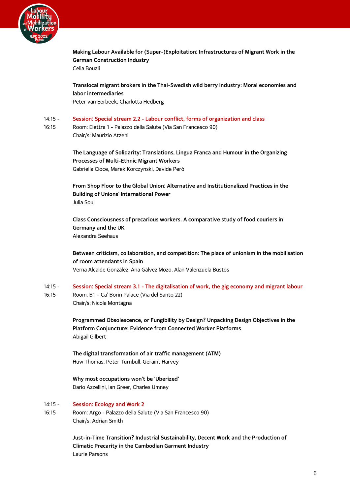

**Making Labour Available for (Super-)Exploitation: Infrastructures of Migrant Work in the German Construction Industry** Celia Bouali

**Translocal migrant brokers in the Thai-Swedish wild berry industry: Moral economies and labor intermediaries** Peter van Eerbeek, Charlotta Hedberg

- 14:15 **Session: Special stream 2.2 - Labour conflict, forms of organization and class**
- 16:15 Room: Elettra 1 - Palazzo della Salute (Via San Francesco 90) Chair/s: Maurizio Atzeni

**The Language of Solidarity: Translations, Lingua Franca and Humour in the Organizing Processes of Multi-Ethnic Migrant Workers** Gabriella Cioce, Marek Korczynski, Davide Però

**From Shop Floor to the Global Union: Alternative and Institutionalized Practices in the Building of Unions' International Power** Julia Soul

**Class Consciousness of precarious workers. A comparative study of food couriers in Germany and the UK** Alexandra Seehaus

**Between criticism, collaboration, and competition: The place of unionism in the mobilisation of room attendants in Spain** Verna Alcalde González, Ana Gálvez Mozo, Alan Valenzuela Bustos

14:15 - 16:15 **Session: Special stream 3.1 - The digitalisation of work, the gig economy and migrant labour** Room: B1 – Ca' Borin Palace (Via del Santo 22) Chair/s: Nicola Montagna

> **Programmed Obsolescence, or Fungibility by Design? Unpacking Design Objectives in the Platform Conjuncture: Evidence from Connected Worker Platforms** Abigail Gilbert

**The digital transformation of air traffic management (ATM)** Huw Thomas, Peter Turnbull, Geraint Harvey

**Why most occupations won't be 'Uberized'** Dario Azzellini, Ian Greer, Charles Umney

#### 14:15 - **Session: Ecology and Work 2**

16:15 Room: Argo - Palazzo della Salute (Via San Francesco 90) Chair/s: Adrian Smith

> **Just-in-Time Transition? Industrial Sustainability, Decent Work and the Production of Climatic Precarity in the Cambodian Garment Industry** Laurie Parsons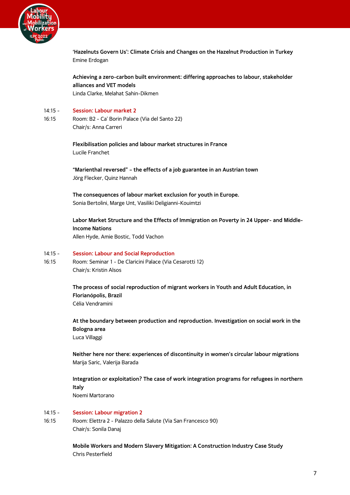

**'Hazelnuts Govern Us': Climate Crisis and Changes on the Hazelnut Production in Turkey** Emine Erdogan

**Achieving a zero-carbon built environment: differing approaches to labour, stakeholder alliances and VET models** Linda Clarke, Melahat Sahin-Dikmen

#### 14:15 - **Session: Labour market 2**

16:15 Room: B2 - Ca' Borin Palace (Via del Santo 22) Chair/s: Anna Carreri

> **Flexibilisation policies and labour market structures in France** Lucile Franchet

**"Marienthal reversed" – the effects of a job guarantee in an Austrian town** Jörg Flecker, Quinz Hannah

**The consequences of labour market exclusion for youth in Europe.** Sonia Bertolini, Marge Unt, Vasiliki Deligianni-Kouimtzi

**Labor Market Structure and the Effects of Immigration on Poverty in 24 Upper- and Middle-Income Nations** Allen Hyde, Amie Bostic, Todd Vachon

#### 14:15 - **Session: Labour and Social Reproduction**

16:15 Room: Seminar 1 - De Claricini Palace (Via Cesarotti 12) Chair/s: Kristin Alsos

> **The process of social reproduction of migrant workers in Youth and Adult Education, in Florianópolis, Brazil** Célia Vendramini

**At the boundary between production and reproduction. Investigation on social work in the Bologna area** Luca Villaggi

**Neither here nor there: experiences of discontinuity in women's circular labour migrations** Marija Saric, Valerija Barada

**Integration or exploitation? The case of work integration programs for refugees in northern Italy**

Noemi Martorano

#### 14:15 - **Session: Labour migration 2**

16:15 Room: Elettra 2 - Palazzo della Salute (Via San Francesco 90) Chair/s: Sonila Danaj

> **Mobile Workers and Modern Slavery Mitigation: A Construction Industry Case Study** Chris Pesterfield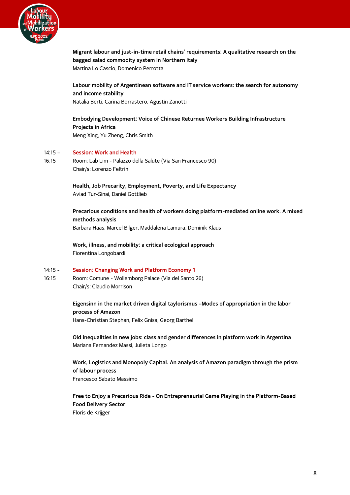

**Migrant labour and just-in-time retail chains' requirements: A qualitative research on the bagged salad commodity system in Northern Italy** Martina Lo Cascio, Domenico Perrotta

## **Labour mobility of Argentinean software and IT service workers: the search for autonomy and income stability** Natalia Berti, Carina Borrastero, Agustín Zanotti

**Embodying Development: Voice of Chinese Returnee Workers Building Infrastructure Projects in Africa** Meng Xing, Yu Zheng, Chris Smith

#### 14:15 – **Session: Work and Health**

16:15 Room: Lab Lim - Palazzo della Salute (Via San Francesco 90) Chair/s: Lorenzo Feltrin

> **Health, Job Precarity, Employment, Poverty, and Life Expectancy** Aviad Tur-Sinai, Daniel Gottlieb

**Precarious conditions and health of workers doing platform-mediated online work. A mixed methods analysis** Barbara Haas, Marcel Bilger, Maddalena Lamura, Dominik Klaus

**Work, illness, and mobility: a critical ecological approach** Fiorentina Longobardi

#### 14:15 - **Session: Changing Work and Platform Economy 1**

16:15 Room: Comune - Wollemborg Palace (Via del Santo 26) Chair/s: Claudio Morrison

## **Eigensinn in the market driven digital taylorismus –Modes of appropriation in the labor process of Amazon**

Hans-Christian Stephan, Felix Gnisa, Georg Barthel

**Old inequalities in new jobs: class and gender differences in platform work in Argentina** Mariana Fernandez Massi, Julieta Longo

**Work, Logistics and Monopoly Capital. An analysis of Amazon paradigm through the prism of labour process** Francesco Sabato Massimo

**Free to Enjoy a Precarious Ride - On Entrepreneurial Game Playing in the Platform-Based Food Delivery Sector** Floris de Krijger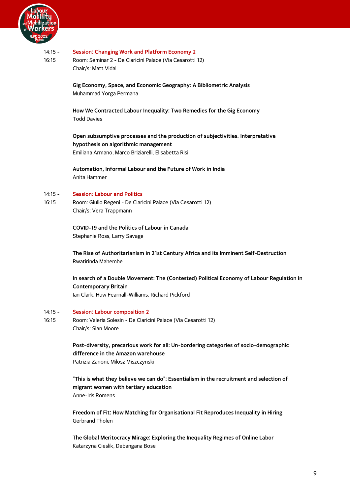

#### 14:15 - **Session: Changing Work and Platform Economy 2**

16:15 Room: Seminar 2 - De Claricini Palace (Via Cesarotti 12) Chair/s: Matt Vidal

> **Gig Economy, Space, and Economic Geography: A Bibliometric Analysis** Muhammad Yorga Permana

**How We Contracted Labour Inequality: Two Remedies for the Gig Economy** Todd Davies

**Open subsumptive processes and the production of subjectivities. Interpretative hypothesis on algorithmic management** Emiliana Armano, Marco Briziarelli, Elisabetta Risi

**Automation, Informal Labour and the Future of Work in India** Anita Hammer

#### 14:15 - **Session: Labour and Politics**

16:15 Room: Giulio Regeni - De Claricini Palace (Via Cesarotti 12) Chair/s: Vera Trappmann

> **COVID-19 and the Politics of Labour in Canada** Stephanie Ross, Larry Savage

**The Rise of Authoritarianism in 21st Century Africa and its Imminent Self-Destruction** Rwatirinda Mahembe

**In search of a Double Movement: The (Contested) Political Economy of Labour Regulation in Contemporary Britain** Ian Clark, Huw Fearnall-Williams, Richard Pickford

#### 14:15 - **Session: Labour composition 2**

16:15 Room: Valeria Solesin - De Claricini Palace (Via Cesarotti 12) Chair/s: Sian Moore

> **Post-diversity, precarious work for all: Un-bordering categories of socio-demographic difference in the Amazon warehouse** Patrizia Zanoni, Milosz Miszczynski

> **"This is what they believe we can do": Essentialism in the recruitment and selection of migrant women with tertiary education** Anne-Iris Romens

**Freedom of Fit: How Matching for Organisational Fit Reproduces Inequality in Hiring** Gerbrand Tholen

**The Global Meritocracy Mirage: Exploring the Inequality Regimes of Online Labor** Katarzyna Cieslik, Debangana Bose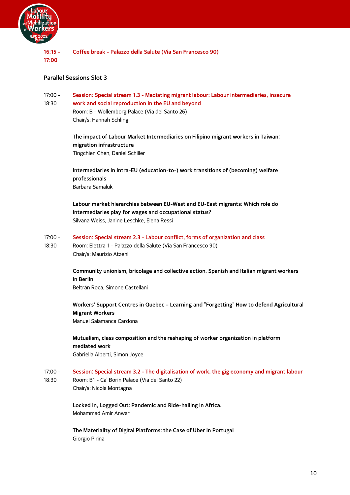

**16:15 - 17:00 Coffee break - Palazzo della Salute (Via San Francesco 90)**

## <span id="page-12-0"></span>**Parallel Sessions Slot 3**

- 17:00 **Session: Special stream 1.3 - Mediating migrant labour: Labour intermediaries, insecure**
- 18:30 **work and social reproduction in the EU and beyond** Room: B - Wollemborg Palace (Via del Santo 26) Chair/s: Hannah Schling

**The impact of Labour Market Intermediaries on Filipino migrant workers in Taiwan: migration infrastructure** Tingchien Chen, Daniel Schiller

**Intermediaries in intra-EU (education-to-) work transitions of (becoming) welfare professionals** Barbara Samaluk

**Labour market hierarchies between EU-West and EU-East migrants: Which role do intermediaries play for wages and occupational status?** Silvana Weiss, Janine Leschke, Elena Ressi

- 17:00 **Session: Special stream 2.3 - Labour conflict, forms of organization and class**
- 18:30 Room: Elettra 1 - Palazzo della Salute (Via San Francesco 90) Chair/s: Maurizio Atzeni

**Community unionism, bricolage and collective action. Spanish and Italian migrant workers in Berlin**

Beltrán Roca, Simone Castellani

**Workers' Support Centres in Quebec – Learning and "Forgetting" How to defend Agricultural Migrant Workers**

Manuel Salamanca Cardona

**Mutualism, class composition and the reshaping of worker organization in platform mediated work** Gabriella Alberti, Simon Joyce

- 17:00 **Session: Special stream 3.2 - The digitalisation of work, the gig economy and migrant labour**
- 18:30 Room: B1 - Ca' Borin Palace (Via del Santo 22) Chair/s: Nicola Montagna

**Locked in, Logged Out: Pandemic and Ride-hailing in Africa.** Mohammad Amir Anwar

**The Materiality of Digital Platforms: the Case of Uber in Portugal** Giorgio Pirina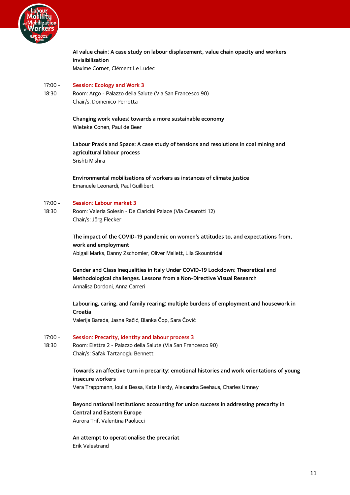

**AI value chain: A case study on labour displacement, value chain opacity and workers invisibilisation** Maxime Cornet, Clément Le Ludec

#### 17:00 - **Session: Ecology and Work 3**

18:30 Room: Argo - Palazzo della Salute (Via San Francesco 90) Chair/s: Domenico Perrotta

> **Changing work values: towards a more sustainable economy** Wieteke Conen, Paul de Beer

**Labour Praxis and Space: A case study of tensions and resolutions in coal mining and agricultural labour process** Srishti Mishra

**Environmental mobilisations of workers as instances of climate justice** Emanuele Leonardi, Paul Guillibert

#### 17:00 - **Session: Labour market 3**

18:30 Room: Valeria Solesin - De Claricini Palace (Via Cesarotti 12) Chair/s: Jörg Flecker

> **The impact of the COVID-19 pandemic on women's attitudes to, and expectations from, work and employment** Abigail Marks, Danny Zschomler, Oliver Mallett, Lila Skountridai

**Gender and Class Inequalities in Italy Under COVID-19 Lockdown: Theoretical and Methodological challenges. Lessons from a Non-Directive Visual Research** Annalisa Dordoni, Anna Carreri

**Labouring, caring, and family rearing: multiple burdens of employment and housework in Croatia**

Valerija Barada, Jasna Račić, Blanka Čop, Sara Čović

#### 17:00 - **Session: Precarity, identity and labour process 3**

18:30 Room: Elettra 2 - Palazzo della Salute (Via San Francesco 90) Chair/s: Safak Tartanoglu Bennett

### **Towards an affective turn in precarity: emotional histories and work orientations of young insecure workers**

Vera Trappmann, Ioulia Bessa, Kate Hardy, Alexandra Seehaus, Charles Umney

**Beyond national institutions: accounting for union success in addressing precarity in Central and Eastern Europe** Aurora Trif, Valentina Paolucci

**An attempt to operationalise the precariat** Erik Valestrand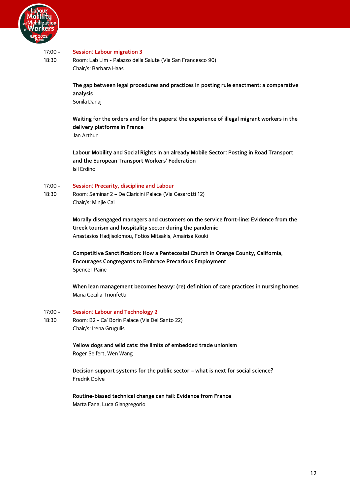

#### 17:00 - **Session: Labour migration 3**

18:30 Room: Lab Lim - Palazzo della Salute (Via San Francesco 90) Chair/s: Barbara Haas

> **The gap between legal procedures and practices in posting rule enactment: a comparative analysis** Sonila Danaj

> **Waiting for the orders and for the papers: the experience of illegal migrant workers in the delivery platforms in France** Jan Arthur

**Labour Mobility and Social Rights in an already Mobile Sector: Posting in Road Transport and the European Transport Workers' Federation** Isil Erdinc

#### 17:00 - **Session: Precarity, discipline and Labour**

18:30 Room: Seminar 2 – De Claricini Palace (Via Cesarotti 12) Chair/s: Minjie Cai

> **Morally disengaged managers and customers on the service front-line: Evidence from the Greek tourism and hospitality sector during the pandemic** Anastasios Hadjisolomou, Fotios Mitsakis, Amairisa Kouki

**Competitive Sanctification: How a Pentecostal Church in Orange County, California, Encourages Congregants to Embrace Precarious Employment** Spencer Paine

**When lean management becomes heavy: (re) definition of care practices in nursing homes** Maria Cecilia Trionfetti

- 17:00 **Session: Labour and Technology 2**
- 18:30 Room: B2 - Ca' Borin Palace (Via Del Santo 22) Chair/s: Irena Grugulis

**Yellow dogs and wild cats: the limits of embedded trade unionism**  Roger Seifert, Wen Wang

**Decision support systems for the public sector – what is next for social science?** Fredrik Dolve

**Routine-biased technical change can fail: Evidence from France** Marta Fana, Luca Giangregorio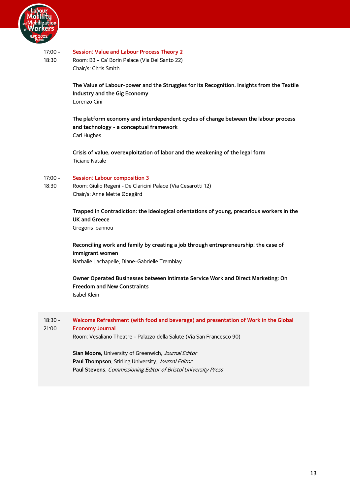

#### 17:00 - **Session: Value and Labour Process Theory 2**

18:30 Room: B3 - Ca' Borin Palace (Via Del Santo 22) Chair/s: Chris Smith

> **The Value of Labour-power and the Struggles for its Recognition. Insights from the Textile Industry and the Gig Economy** Lorenzo Cini

**The platform economy and interdependent cycles of change between the labour process and technology - a conceptual framework** Carl Hughes

**Crisis of value, overexploitation of labor and the weakening of the legal form** Ticiane Natale

#### 17:00 - **Session: Labour composition 3**

18:30 Room: Giulio Regeni - De Claricini Palace (Via Cesarotti 12) Chair/s: Anne Mette Ødegård

> **Trapped in Contradiction: the ideological orientations of young, precarious workers in the UK and Greece** Gregoris Ioannou

## **Reconciling work and family by creating a job through entrepreneurship: the case of immigrant women** Nathalie Lachapelle, Diane-Gabrielle Tremblay

**Owner Operated Businesses between Intimate Service Work and Direct Marketing: On Freedom and New Constraints** Isabel Klein

18:30 - 21:00 **Welcome Refreshment (with food and beverage) and presentation of Work in the Global Economy Journal**

<span id="page-15-0"></span>Room: Vesaliano Theatre - Palazzo della Salute (Via San Francesco 90)

**Sian Moore,** University of Greenwich, Journal Editor **Paul Thompson**, Stirling University, Journal Editor **Paul Stevens**, Commissioning Editor of Bristol University Press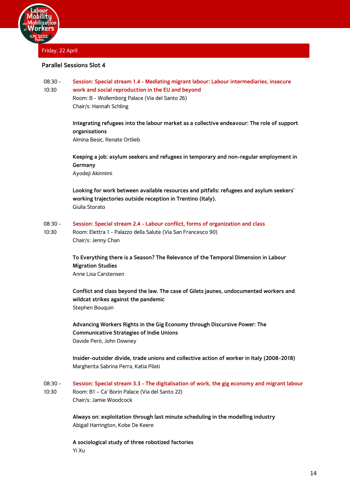

<span id="page-16-0"></span>Friday, 22 April

## <span id="page-16-1"></span>**Parallel Sessions Slot 4**

#### 08:30 - 10:30 **Session: Special stream 1.4 - Mediating migrant labour: Labour intermediaries, insecure work and social reproduction in the EU and beyond**

Room: B - Wollemborg Palace (Via del Santo 26) Chair/s: Hannah Schling

## **Integrating refugees into the labour market as a collective endeavour: The role of support organisations**

Almina Besic, Renate Ortlieb

**Keeping a job: asylum seekers and refugees in temporary and non-regular employment in Germany** Ayodeji Akinnimi

**Looking for work between available resources and pitfalls: refugees and asylum seekers' working trajectories outside reception in Trentino (Italy).** Giulia Storato

- 08:30 **Session: Special stream 2.4 - Labour conflict, forms of organization and class**
- 10:30 Room: Elettra 1 - Palazzo della Salute (Via San Francesco 90) Chair/s: Jenny Chan

**To Everything there is a Season? The Relevance of the Temporal Dimension in Labour Migration Studies** Anne Lisa Carstensen

**Conflict and class beyond the law. The case of Gilets jaunes, undocumented workers and wildcat strikes against the pandemic** Stephen Bouquin

**Advancing Workers Rights in the Gig Economy through Discursive Power: The Communicative Strategies of Indie Unions** Davide Però, John Downey

**Insider-outsider divide, trade unions and collective action of worker in Italy (2008-2018)** Margherita Sabrina Perra, Katia Pilati

08:30 - 10:30 **Session: Special stream 3.3 - The digitalisation of work, the gig economy and migrant labour** Room: B1 – Ca' Borin Palace (Via del Santo 22) Chair/s: Jamie Woodcock

> **Always on: exploitation through last minute scheduling in the modelling industry** Abigail Harrington, Kobe De Keere

**A sociological study of three robotized factories** Yi Xu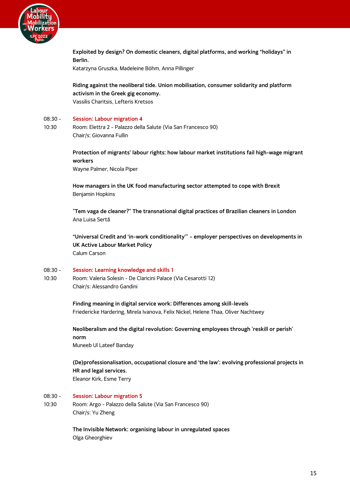

**Exploited by design? On domestic cleaners, digital platforms, and working "holidays" in Berlin.** Katarzyna Gruszka, Madeleine Böhm, Anna Pillinger

**Riding against the neoliberal tide. Union mobilisation, consumer solidarity and platform activism in the Greek gig economy.** Vassilis Charitsis, Lefteris Kretsos

#### 08:30 - **Session: Labour migration 4**

10:30 Room: Elettra 2 - Palazzo della Salute (Via San Francesco 90) Chair/s: Giovanna Fullin

> **Protection of migrants' labour rights: how labour market institutions fail high-wage migrant workers**

Wayne Palmer, Nicola Piper

**How managers in the UK food manufacturing sector attempted to cope with Brexit** Benjamin Hopkins

**"Tem vaga de cleaner?" The transnational digital practices of Brazilian cleaners in London** Ana Luisa Sertã

**"Universal Credit and 'in-work conditionality'" – employer perspectives on developments in UK Active Labour Market Policy** Calum Carson

#### 08:30 - **Session: Learning knowledge and skills 1**

10:30 Room: Valeria Solesin - De Claricini Palace (Via Cesarotti 12) Chair/s: Alessandro Gandini

> **Finding meaning in digital service work: Differences among skill-levels** Friedericke Hardering, Mirela Ivanova, Felix Nickel, Helene Thaa, Oliver Nachtwey

**Neoliberalism and the digital revolution: Governing employees through 'reskill or perish' norm** Muneeb Ul Lateef Banday

**(De)professionalisation, occupational closure and 'the law': evolving professional projects in HR and legal services.** Eleanor Kirk, Esme Terry

- 08:30 **Session: Labour migration 5**
- 10:30 Room: Argo - Palazzo della Salute (Via San Francesco 90) Chair/s: Yu Zheng

**The Invisible Network: organising labour in unregulated spaces** Olga Gheorghiev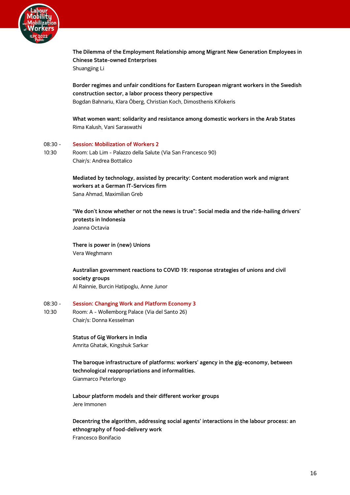

**The Dilemma of the Employment Relationship among Migrant New Generation Employees in Chinese State-owned Enterprises** Shuangjing Li

**Border regimes and unfair conditions for Eastern European migrant workers in the Swedish construction sector, a labor process theory perspective** Bogdan Bahnariu, Klara Öberg, Christian Koch, Dimosthenis Kifokeris

**What women want: solidarity and resistance among domestic workers in the Arab States** Rima Kalush, Vani Saraswathi

#### 08:30 - **Session: Mobilization of Workers 2**

10:30 Room: Lab Lim - Palazzo della Salute (Via San Francesco 90) Chair/s: Andrea Bottalico

> **Mediated by technology, assisted by precarity: Content moderation work and migrant workers at a German IT-Services firm** Sana Ahmad, Maximilian Greb

**"We don't know whether or not the news is true": Social media and the ride-hailing drivers' protests in Indonesia** Joanna Octavia

**There is power in (new) Unions** Vera Weghmann

**Australian government reactions to COVID 19: response strategies of unions and civil society groups** Al Rainnie, Burcin Hatipoglu, Anne Junor

#### 08:30 - 10:30 **Session: Changing Work and Platform Economy 3** Room: A - Wollemborg Palace (Via del Santo 26) Chair/s: Donna Kesselman

**Status of Gig Workers in India** Amrita Ghatak, Kingshuk Sarkar

**The baroque infrastructure of platforms: workers' agency in the gig-economy, between technological reappropriations and informalities.** Gianmarco Peterlongo

**Labour platform models and their different worker groups** Jere Immonen

**Decentring the algorithm, addressing social agents' interactions in the labour process: an ethnography of food-delivery work** Francesco Bonifacio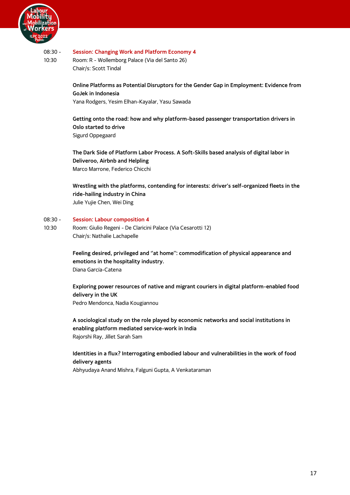

#### 08:30 - **Session: Changing Work and Platform Economy 4**

10:30 Room: R - Wollemborg Palace (Via del Santo 26) Chair/s: Scott Tindal

> **Online Platforms as Potential Disruptors for the Gender Gap in Employment: Evidence from GoJek in Indonesia** Yana Rodgers, Yesim Elhan-Kayalar, Yasu Sawada

**Getting onto the road: how and why platform-based passenger transportation drivers in Oslo started to drive** Sigurd Oppegaard

**The Dark Side of Platform Labor Process. A Soft-Skills based analysis of digital labor in Deliveroo, Airbnb and Helpling** Marco Marrone, Federico Chicchi

**Wrestling with the platforms, contending for interests: driver's self-organized fleets in the ride-hailing industry in China** Julie Yujie Chen, Wei Ding

#### 08:30 - **Session: Labour composition 4**

10:30 Room: Giulio Regeni - De Claricini Palace (Via Cesarotti 12) Chair/s: Nathalie Lachapelle

> **Feeling desired, privileged and ''at home'': commodification of physical appearance and emotions in the hospitality industry.** Diana García-Catena

**Exploring power resources of native and migrant couriers in digital platform-enabled food delivery in the UK** Pedro Mendonca, Nadia Kougiannou

**A sociological study on the role played by economic networks and social institutions in enabling platform mediated service-work in India** Rajorshi Ray, Jillet Sarah Sam

## **Identities in a flux? Interrogating embodied labour and vulnerabilities in the work of food delivery agents**

Abhyudaya Anand Mishra, Falguni Gupta, A Venkataraman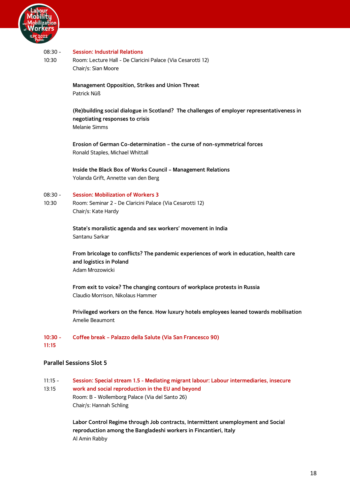

#### 08:30 - **Session: Industrial Relations**

10:30 Room: Lecture Hall - De Claricini Palace (Via Cesarotti 12) Chair/s: Sian Moore

> **Management Opposition, Strikes and Union Threat** Patrick Nüß

**(Re)building social dialogue in Scotland? The challenges of employer representativeness in negotiating responses to crisis** Melanie Simms

**Erosion of German Co-determination – the curse of non-symmetrical forces** Ronald Staples, Michael Whittall

**Inside the Black Box of Works Council – Management Relations** Yolanda Grift, Annette van den Berg

#### 08:30 - **Session: Mobilization of Workers 3**

10:30 Room: Seminar 2 - De Claricini Palace (Via Cesarotti 12) Chair/s: Kate Hardy

> **State's moralistic agenda and sex workers' movement in India** Santanu Sarkar

**From bricolage to conflicts? The pandemic experiences of work in education, health care and logistics in Poland** Adam Mrozowicki

**From exit to voice? The changing contours of workplace protests in Russia** Claudio Morrison, Nikolaus Hammer

**Privileged workers on the fence. How luxury hotels employees leaned towards mobilisation** Amelie Beaumont

#### **10:30 - 11:15 Coffee break – Palazzo della Salute (Via San Francesco 90)**

## <span id="page-20-0"></span>**Parallel Sessions Slot 5**

11:15 - 13:15 **Session: Special stream 1.5 - Mediating migrant labour: Labour intermediaries, insecure work and social reproduction in the EU and beyond** Room: B - Wollemborg Palace (Via del Santo 26) Chair/s: Hannah Schling

> **Labor Control Regime through Job contracts, Intermittent unemployment and Social reproduction among the Bangladeshi workers in Fincantieri, Italy** Al Amin Rabby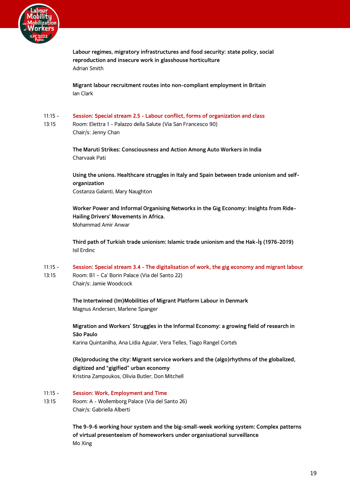

**Labour regimes, migratory infrastructures and food security: state policy, social reproduction and insecure work in glasshouse horticulture** Adrian Smith

**Migrant labour recruitment routes into non-compliant employment in Britain** Ian Clark

- 11:15 **Session: Special stream 2.5 - Labour conflict, forms of organization and class**
- 13:15 Room: Elettra 1 - Palazzo della Salute (Via San Francesco 90) Chair/s: Jenny Chan

**The Maruti Strikes: Consciousness and Action Among Auto Workers in India** Charvaak Pati

**Using the unions. Healthcare struggles in Italy and Spain between trade unionism and selforganization** Costanza Galanti, Mary Naughton

**Worker Power and Informal Organising Networks in the Gig Economy: Insights from Ride-Hailing Drivers' Movements in Africa.** Mohammad Amir Anwar

**Third path of Turkish trade unionism: Islamic trade unionism and the Hak-İş (1976-2019)** Isil Erdinc

- 11:15 **Session: Special stream 3.4 - The digitalisation of work, the gig economy and migrant labour**
- 13:15 Room: B1 – Ca' Borin Palace (Via del Santo 22) Chair/s: Jamie Woodcock

**The Intertwined (Im)Mobilities of Migrant Platform Labour in Denmark** Magnus Andersen, Marlene Spanger

**Migration and Workers' Struggles in the Informal Economy: a growing field of research in São Paulo**

Karina Quintanilha, Ana Lídia Aguiar, Vera Telles, Tiago Rangel Cortês

**(Re)producing the city: Migrant service workers and the (algo)rhythms of the globalized, digitized and "gigified" urban economy** Kristina Zampoukos, Olivia Butler, Don Mitchell

- 11:15 **Session: Work, Employment and Time**
- 13:15 Room: A - Wollemborg Palace (Via del Santo 26) Chair/s: Gabriella Alberti

**The 9-9-6 working hour system and the big-small-week working system: Complex patterns of virtual presenteeism of homeworkers under organisational surveillance** Mo Xing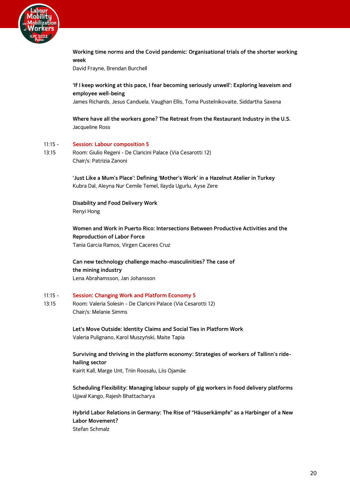

**Working time norms and the Covid pandemic: Organisational trials of the shorter working week**

David Frayne, Brendan Burchell

**'If I keep working at this pace, I fear becoming seriously unwell': Exploring leaveism and employee well-being**

James Richards, Jesus Canduela, Vaughan Ellis, Toma Pustelnikovaite, Siddartha Saxena

**Where have all the workers gone? The Retreat from the Restaurant Industry in the U.S.** Jacqueline Ross

#### 11:15 - **Session: Labour composition 5**

13:15 Room: Giulio Regeni - De Claricini Palace (Via Cesarotti 12) Chair/s: Patrizia Zanoni

> **'Just Like a Mum's Place': Defining 'Mother's Work' in a Hazelnut Atelier in Turkey** Kubra Dal, Aleyna Nur Cemile Temel, Ilayda Ugurlu, Ayse Zere

**Disability and Food Delivery Work** Renyi Hong

**Women and Work in Puerto Rico: Intersections Between Productive Activities and the Reproduction of Labor Force** Tania Garcia Ramos, Virgen Caceres Cruz

**Can new technology challenge macho-masculinities? The case of the mining industry** Lena Abrahamsson, Jan Johansson

#### 11:15 - **Session: Changing Work and Platform Economy 5**

13:15 Room: Valeria Solesin - De Claricini Palace (Via Cesarotti 12) Chair/s: Melanie Simms

> **Let's Move Outside: Identity Claims and Social Ties in Platform Work** Valeria Pulignano, Karol Muszyński, Maite Tapia

**Surviving and thriving in the platform economy: Strategies of workers of Tallinn's ridehailing sector** Kairit Kall, Marge Unt, Triin Roosalu, Liis Ojamäe

**Scheduling Flexibility: Managing labour supply of gig workers in food delivery platforms** Ujjwal Kango, Rajesh Bhattacharya

**Hybrid Labor Relations in Germany: The Rise of "Häuserkämpfe" as a Harbinger of a New Labor Movement?** Stefan Schmalz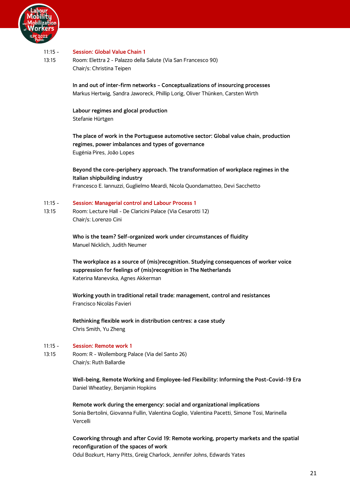

#### $11:15 -$ **Session: Global Value Chain 1**

13:15 Room: Elettra 2 - Palazzo della Salute (Via San Francesco 90) Chair/s: Christina Teipen

> **In and out of inter-firm networks – Conceptualizations of insourcing processes** Markus Hertwig, Sandra Jaworeck, Phillip Lorig, Oliver Thünken, Carsten Wirth

## **Labour regimes and glocal production**

Stefanie Hürtgen

**The place of work in the Portuguese automotive sector: Global value chain, production regimes, power imbalances and types of governance** Eugénia Pires, João Lopes

**Beyond the core-periphery approach. The transformation of workplace regimes in the Italian shipbuilding industry** Francesco E. Iannuzzi, Guglielmo Meardi, Nicola Quondamatteo, Devi Sacchetto

#### 11:15 - **Session: Managerial control and Labour Process 1**

13:15 Room: Lecture Hall - De Claricini Palace (Via Cesarotti 12) Chair/s: Lorenzo Cini

> **Who is the team? Self-organized work under circumstances of fluidity** Manuel Nicklich, Judith Neumer

**The workplace as a source of (mis)recognition. Studying consequences of worker voice suppression for feelings of (mis)recognition in The Netherlands** Katerina Manevska, Agnes Akkerman

**Working youth in traditional retail trade: management, control and resistances** Francisco Nicolás Favieri

**Rethinking flexible work in distribution centres: a case study** Chris Smith, Yu Zheng

#### 11:15 - **Session: Remote work 1**

13:15 Room: R - Wollemborg Palace (Via del Santo 26) Chair/s: Ruth Ballardie

> **Well-being, Remote Working and Employee-led Flexibility: Informing the Post-Covid-19 Era** Daniel Wheatley, Benjamin Hopkins

**Remote work during the emergency: social and organizational implications** Sonia Bertolini, Giovanna Fullin, Valentina Goglio, Valentina Pacetti, Simone Tosi, Marinella Vercelli

**Coworking through and after Covid 19: Remote working, property markets and the spatial reconfiguration of the spaces of work**

Odul Bozkurt, Harry Pitts, Greig Charlock, Jennifer Johns, Edwards Yates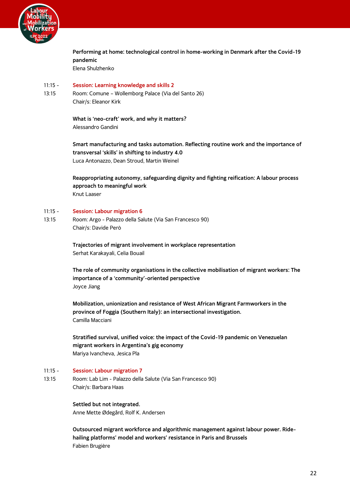

**Performing at home: technological control in home-working in Denmark after the Covid-19 pandemic** Elena Shulzhenko

#### 11:15 - **Session: Learning knowledge and skills 2**

13:15 Room: Comune – Wollemborg Palace (Via del Santo 26) Chair/s: Eleanor Kirk

> **What is 'neo-craft' work, and why it matters?** Alessandro Gandini

**Smart manufacturing and tasks automation. Reflecting routine work and the importance of transversal 'skills' in shifting to industry 4.0** Luca Antonazzo, Dean Stroud, Martin Weinel

**Reappropriating autonomy, safeguarding dignity and fighting reification: A labour process approach to meaningful work** Knut Laaser

#### $11:15 -$ **Session: Labour migration 6**

13:15 Room: Argo - Palazzo della Salute (Via San Francesco 90) Chair/s: Davide Però

> **Trajectories of migrant involvement in workplace representation** Serhat Karakayali, Celia Bouail

**The role of community organisations in the collective mobilisation of migrant workers: The importance of a 'community'-oriented perspective** Joyce Jiang

**Mobilization, unionization and resistance of West African Migrant Farmworkers in the province of Foggia (Southern Italy): an intersectional investigation.** Camilla Macciani

**Stratified survival, unified voice: the impact of the Covid-19 pandemic on Venezuelan migrant workers in Argentina's gig economy** Mariya Ivancheva, Jesica Pla

#### $11:15 -$ **Session: Labour migration 7**

13:15 Room: Lab Lim - Palazzo della Salute (Via San Francesco 90) Chair/s: Barbara Haas

> **Settled but not integrated.** Anne Mette Ødegård, Rolf K. Andersen

**Outsourced migrant workforce and algorithmic management against labour power. Ridehailing platforms' model and workers' resistance in Paris and Brussels** Fabien Brugière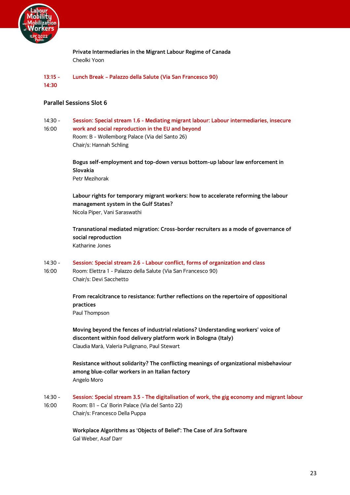

**Private Intermediaries in the Migrant Labour Regime of Canada** Cheolki Yoon

#### **13:15 - 14:30 Lunch Break – Palazzo della Salute (Via San Francesco 90)**

## <span id="page-25-0"></span>**Parallel Sessions Slot 6**

16:00

14:30 - **Session: Special stream 1.6 - Mediating migrant labour: Labour intermediaries, insecure** 

**work and social reproduction in the EU and beyond** Room: B - Wollemborg Palace (Via del Santo 26) Chair/s: Hannah Schling

**Bogus self-employment and top-down versus bottom-up labour law enforcement in Slovakia** Petr Mezihorak

**Labour rights for temporary migrant workers: how to accelerate reforming the labour management system in the Gulf States?** Nicola Piper, Vani Saraswathi

**Transnational mediated migration: Cross-border recruiters as a mode of governance of social reproduction** Katharine Jones

- 14:30 **Session: Special stream 2.6 - Labour conflict, forms of organization and class**
- 16:00 Room: Elettra 1 - Palazzo della Salute (Via San Francesco 90) Chair/s: Devi Sacchetto

**From recalcitrance to resistance: further reflections on the repertoire of oppositional practices**

Paul Thompson

**Moving beyond the fences of industrial relations? Understanding workers' voice of discontent within food delivery platform work in Bologna (Italy)** Claudia Marà, Valeria Pulignano, Paul Stewart

**Resistance without solidarity? The conflicting meanings of organizational misbehaviour among blue-collar workers in an Italian factory** Angelo Moro

 $14:30 -$ 16:00 **Session: Special stream 3.5 - The digitalisation of work, the gig economy and migrant labour** Room: B1 – Ca' Borin Palace (Via del Santo 22) Chair/s: Francesco Della Puppa

> **Workplace Algorithms as 'Objects of Belief': The Case of Jira Software** Gal Weber, Asaf Darr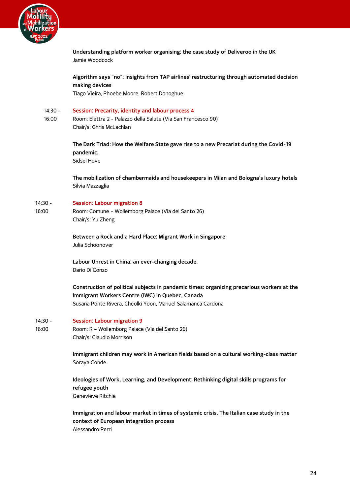

**Understanding platform worker organising: the case study of Deliveroo in the UK** Jamie Woodcock

**Algorithm says "no": insights from TAP airlines' restructuring through automated decision making devices**

Tiago Vieira, Phoebe Moore, Robert Donoghue

#### 14:30 - **Session: Precarity, identity and labour process 4**

16:00 Room: Elettra 2 - Palazzo della Salute (Via San Francesco 90) Chair/s: Chris McLachlan

> **The Dark Triad: How the Welfare State gave rise to a new Precariat during the Covid-19 pandemic.** Sidsel Hove

**The mobilization of chambermaids and housekeepers in Milan and Bologna's luxury hotels** Silvia Mazzaglia

#### 14:30 - **Session: Labour migration 8**

16:00 Room: Comune – Wollemborg Palace (Via del Santo 26) Chair/s: Yu Zheng

> **Between a Rock and a Hard Place: Migrant Work in Singapore** Julia Schoonover

**Labour Unrest in China: an ever-changing decade.** Dario Di Conzo

**Construction of political subjects in pandemic times: organizing precarious workers at the Immigrant Workers Centre (IWC) in Quebec, Canada** Susana Ponte Rivera, Cheolki Yoon, Manuel Salamanca Cardona

#### $14:30 -$ **Session: Labour migration 9**

16:00 Room: R – Wollemborg Palace (Via del Santo 26) Chair/s: Claudio Morrison

> **Immigrant children may work in American fields based on a cultural working-class matter** Soraya Conde

**Ideologies of Work, Learning, and Development: Rethinking digital skills programs for refugee youth** Genevieve Ritchie

**Immigration and labour market in times of systemic crisis. The Italian case study in the context of European integration process** Alessandro Perri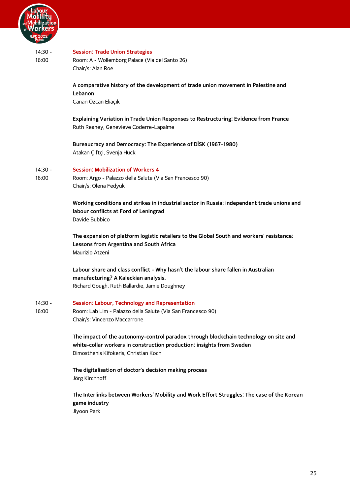

| PC 2022            |                                                                                                                                                                                                        |
|--------------------|--------------------------------------------------------------------------------------------------------------------------------------------------------------------------------------------------------|
| $14:30 -$<br>16:00 | <b>Session: Trade Union Strategies</b><br>Room: A - Wollemborg Palace (Via del Santo 26)                                                                                                               |
|                    | Chair/s: Alan Roe                                                                                                                                                                                      |
|                    | A comparative history of the development of trade union movement in Palestine and                                                                                                                      |
|                    | Lebanon<br>Canan Özcan Eliaçık                                                                                                                                                                         |
|                    | Explaining Variation in Trade Union Responses to Restructuring: Evidence from France<br>Ruth Reaney, Genevieve Coderre-Lapalme                                                                         |
|                    | Bureaucracy and Democracy: The Experience of DİSK (1967-1980)<br>Atakan Çiftçi, Svenja Huck                                                                                                            |
| $14:30 -$          | <b>Session: Mobilization of Workers 4</b>                                                                                                                                                              |
| 16:00              | Room: Argo - Palazzo della Salute (Via San Francesco 90)<br>Chair/s: Olena Fedyuk                                                                                                                      |
|                    | Working conditions and strikes in industrial sector in Russia: independent trade unions and<br>labour conflicts at Ford of Leningrad<br>Davide Bubbico                                                 |
|                    | The expansion of platform logistic retailers to the Global South and workers' resistance:<br>Lessons from Argentina and South Africa<br>Maurizio Atzeni                                                |
|                    | Labour share and class conflict - Why hasn't the labour share fallen in Australian<br>manufacturing? A Kaleckian analysis.                                                                             |
|                    | Richard Gough, Ruth Ballardie, Jamie Doughney                                                                                                                                                          |
| $14:30 -$          | Session: Labour, Technology and Representation                                                                                                                                                         |
| 16:00              | Room: Lab Lim - Palazzo della Salute (Via San Francesco 90)<br>Chair/s: Vincenzo Maccarrone                                                                                                            |
|                    | The impact of the autonomy-control paradox through blockchain technology on site and<br>white-collar workers in construction production: insights from Sweden<br>Dimosthenis Kifokeris, Christian Koch |
|                    | The digitalisation of doctor's decision making process<br>Jörg Kirchhoff                                                                                                                               |
|                    | The Interlinks between Workers' Mobility and Work Effort Struggles: The case of the Korean<br>game industry                                                                                            |
|                    | Jiyoon Park                                                                                                                                                                                            |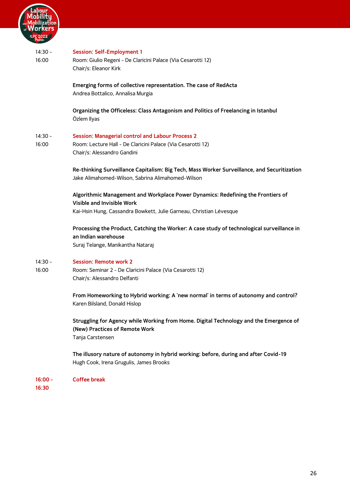

## 14:30 - 16:00 **Session: Self-Employment 1** Room: Giulio Regeni - De Claricini Palace (Via Cesarotti 12) Chair/s: Eleanor Kirk **Emerging forms of collective representation. The case of RedActa** Andrea Bottalico, Annalisa Murgia **Organizing the Officeless: Class Antagonism and Politics of Freelancing in Istanbul** Özlem Ilyas 14:30 - 16:00 **Session: Managerial control and Labour Process 2** Room: Lecture Hall - De Claricini Palace (Via Cesarotti 12) Chair/s: Alessandro Gandini **Re-thinking Surveillance Capitalism: Big Tech, Mass Worker Surveillance, and Securitization** Jake Alimahomed-Wilson, Sabrina Alimahomed-Wilson **Algorithmic Management and Workplace Power Dynamics: Redefining the Frontiers of Visible and Invisible Work** Kai-Hsin Hung, Cassandra Bowkett, Julie Garneau, Christian Lévesque **Processing the Product, Catching the Worker: A case study of technological surveillance in an Indian warehouse** Suraj Telange, Manikantha Nataraj 14:30 - 16:00 **Session: Remote work 2** Room: Seminar 2 - De Claricini Palace (Via Cesarotti 12) Chair/s: Alessandro Delfanti **From Homeworking to Hybrid working: A 'new normal' in terms of autonomy and control?** Karen Bilsland, Donald Hislop **Struggling for Agency while Working from Home. Digital Technology and the Emergence of**

**(New) Practices of Remote Work** Tanja Carstensen

**The illusory nature of autonomy in hybrid working: before, during and after Covid-19** Hugh Cook, Irena Grugulis, James Brooks

**16:00 - Coffee break**

**16:30**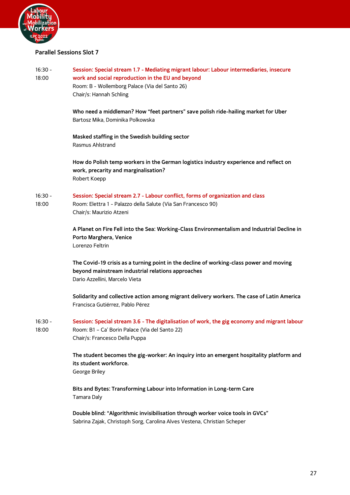

## <span id="page-29-0"></span>**Parallel Sessions Slot 7**

| $16:30 -$<br>18:00 | Session: Special stream 1.7 - Mediating migrant labour: Labour intermediaries, insecure<br>work and social reproduction in the EU and beyond<br>Room: B - Wollemborg Palace (Via del Santo 26)<br>Chair/s: Hannah Schling |
|--------------------|---------------------------------------------------------------------------------------------------------------------------------------------------------------------------------------------------------------------------|
|                    | Who need a middleman? How "feet partners" save polish ride-hailing market for Uber<br>Bartosz Mika, Dominika Polkowska                                                                                                    |
|                    | Masked staffing in the Swedish building sector<br>Rasmus Ahlstrand                                                                                                                                                        |
|                    | How do Polish temp workers in the German logistics industry experience and reflect on<br>work, precarity and marginalisation?<br>Robert Koepp                                                                             |
| $16:30 -$<br>18:00 | Session: Special stream 2.7 - Labour conflict, forms of organization and class<br>Room: Elettra 1 - Palazzo della Salute (Via San Francesco 90)<br>Chair/s: Maurizio Atzeni                                               |
|                    | A Planet on Fire Fell into the Sea: Working-Class Environmentalism and Industrial Decline in<br>Porto Marghera, Venice<br>Lorenzo Feltrin                                                                                 |
|                    | The Covid-19 crisis as a turning point in the decline of working-class power and moving<br>beyond mainstream industrial relations approaches<br>Dario Azzellini, Marcelo Vieta                                            |
|                    | Solidarity and collective action among migrant delivery workers. The case of Latin America<br>Francisca Gutiérrez, Pablo Pérez                                                                                            |
| $16:30 -$<br>18:00 | Session: Special stream 3.6 - The digitalisation of work, the gig economy and migrant labour<br>Room: B1 - Ca' Borin Palace (Via del Santo 22)<br>Chair/s: Francesco Della Puppa                                          |
|                    | The student becomes the gig-worker: An inquiry into an emergent hospitality platform and<br>its student workforce.<br>George Briley                                                                                       |
|                    | Bits and Bytes: Transforming Labour into Information in Long-term Care<br>Tamara Daly                                                                                                                                     |

**Double blind: "Algorithmic invisibilisation through worker voice tools in GVCs"** Sabrina Zajak, Christoph Sorg, Carolina Alves Vestena, Christian Scheper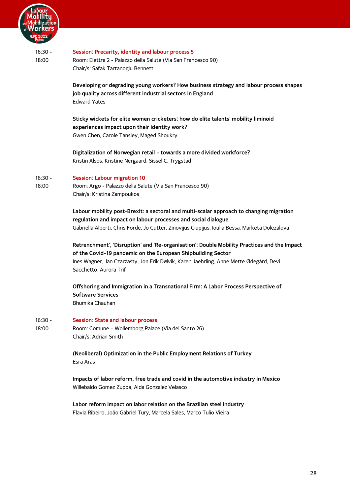

#### 16:30 - 18:00 **Session: Precarity, identity and labour process 5** Room: Elettra 2 - Palazzo della Salute (Via San Francesco 90) Chair/s: Safak Tartanoglu Bennett

**Developing or degrading young workers? How business strategy and labour process shapes job quality across different industrial sectors in England** Edward Yates

**Sticky wickets for elite women cricketers: how do elite talents' mobility liminoid experiences impact upon their identity work?** Gwen Chen, Carole Tansley, Maged Shoukry

**Digitalization of Norwegian retail – towards a more divided workforce?** Kristin Alsos, Kristine Nergaard, Sissel C. Trygstad

#### 16:30 - **Session: Labour migration 10**

18:00 Room: Argo - Palazzo della Salute (Via San Francesco 90) Chair/s: Kristina Zampoukos

> **Labour mobility post-Brexit: a sectoral and multi-scalar approach to changing migration regulation and impact on labour processes and social dialogue** Gabriella Alberti, Chris Forde, Jo Cutter, Zinovijus Ciupijus, Ioulia Bessa, Marketa Dolezalova

**Retrenchment', 'Disruption' and 'Re-organisation': Double Mobility Practices and the Impact of the Covid-19 pandemic on the European Shipbuilding Sector** Ines Wagner, Jan Czarzasty, Jon Erik Dølvik, Karen Jaehrling, Anne Mette Ødegård, Devi Sacchetto, Aurora Trif

**Offshoring and Immigration in a Transnational Firm: A Labor Process Perspective of Software Services** Bhumika Chauhan

#### 16:30 - **Session: State and labour process**

18:00 Room: Comune – Wollemborg Palace (Via del Santo 26) Chair/s: Adrian Smith

> **(Neoliberal) Optimization in the Public Employment Relations of Turkey**  Esra Aras

**Impacts of labor reform, free trade and covid in the automotive industry in Mexico** Willebaldo Gomez Zuppa, Alda Gonzalez Velasco

**Labor reform impact on labor relation on the Brazilian steel industry** Flavia Ribeiro, João Gabriel Tury, Marcela Sales, Marco Tulio Vieira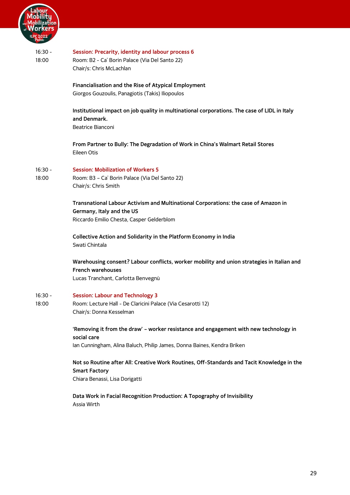

| $16:30 -$<br>18:00 | Session: Precarity, identity and labour process 6<br>Room: B2 - Ca' Borin Palace (Via Del Santo 22)<br>Chair/s: Chris McLachlan                                                 |
|--------------------|---------------------------------------------------------------------------------------------------------------------------------------------------------------------------------|
|                    | Financialisation and the Rise of Atypical Employment<br>Giorgos Gouzoulis, Panagiotis (Takis) Iliopoulos                                                                        |
|                    | Institutional impact on job quality in multinational corporations. The case of LIDL in Italy<br>and Denmark.<br>Beatrice Bianconi                                               |
|                    | From Partner to Bully: The Degradation of Work in China's Walmart Retail Stores<br>Eileen Otis                                                                                  |
| $16:30 -$<br>18:00 | <b>Session: Mobilization of Workers 5</b><br>Room: B3 - Ca' Borin Palace (Via Del Santo 22)<br>Chair/s: Chris Smith                                                             |
|                    | Transnational Labour Activism and Multinational Corporations: the case of Amazon in<br>Germany, Italy and the US<br>Riccardo Emilio Chesta, Casper Gelderblom                   |
|                    | Collective Action and Solidarity in the Platform Economy in India<br>Swati Chintala                                                                                             |
|                    | Warehousing consent? Labour conflicts, worker mobility and union strategies in Italian and<br><b>French warehouses</b><br>Lucas Tranchant, Carlotta Benvegnù                    |
| 16:30 -<br>18:00   | <b>Session: Labour and Technology 3</b><br>Room: Lecture Hall - De Claricini Palace (Via Cesarotti 12)<br>Chair/s: Donna Kesselman                                              |
|                    | 'Removing it from the draw' - worker resistance and engagement with new technology in<br>social care<br>Ian Cunningham, Alina Baluch, Philip James, Donna Baines, Kendra Briken |
|                    | Not so Routine after All: Creative Work Routines, Off-Standards and Tacit Knowledge in the<br><b>Smart Factory</b><br>Chiara Benassi, Lisa Dorigatti                            |
|                    | Data Work in Facial Recognition Production: A Topography of Invisibility<br>Assia Wirth                                                                                         |
|                    |                                                                                                                                                                                 |
|                    |                                                                                                                                                                                 |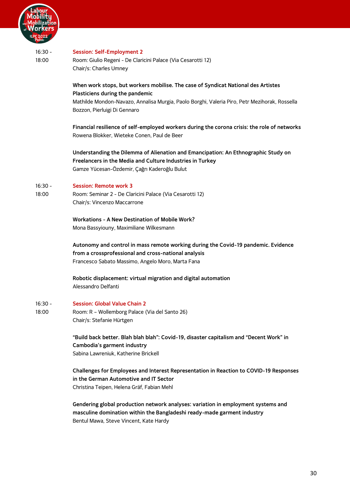

## 16:30 - 18:00 **Session: Self-Employment 2** Room: Giulio Regeni - De Claricini Palace (Via Cesarotti 12) Chair/s: Charles Umney **When work stops, but workers mobilise. The case of Syndicat National des Artistes Plasticiens during the pandemic** Mathilde Mondon-Navazo, Annalisa Murgia, Paolo Borghi, Valeria Piro, Petr Mezihorak, Rossella Bozzon, Pierluigi Di Gennaro **Financial resilience of self-employed workers during the corona crisis: the role of networks** Rowena Blokker, Wieteke Conen, Paul de Beer **Understanding the Dilemma of Alienation and Emancipation: An Ethnographic Study on Freelancers in the Media and Culture Industries in Turkey** Gamze Yücesan-Özdemir, Çağrı Kaderoğlu Bulut

#### 16:30 - **Session: Remote work 3**

18:00 Room: Seminar 2 - De Claricini Palace (Via Cesarotti 12) Chair/s: Vincenzo Maccarrone

> **Workations - A New Destination of Mobile Work?** Mona Bassyiouny, Maximiliane Wilkesmann

**Autonomy and control in mass remote working during the Covid-19 pandemic. Evidence from a crossprofessional and cross-national analysis** Francesco Sabato Massimo, Angelo Moro, Marta Fana

**Robotic displacement: virtual migration and digital automation** Alessandro Delfanti

16:30 - 18:00 **Session: Global Value Chain 2** Room: R – Wollemborg Palace (Via del Santo 26)

Chair/s: Stefanie Hürtgen

**"Build back better. Blah blah blah": Covid-19, disaster capitalism and "Decent Work" in Cambodia's garment industry** Sabina Lawreniuk, Katherine Brickell

**Challenges for Employees and Interest Representation in Reaction to COVID-19 Responses in the German Automotive and IT Sector** Christina Teipen, Helena Gräf, Fabian Mehl

**Gendering global production network analyses: variation in employment systems and masculine domination within the Bangladeshi ready-made garment industry** Bentul Mawa, Steve Vincent, Kate Hardy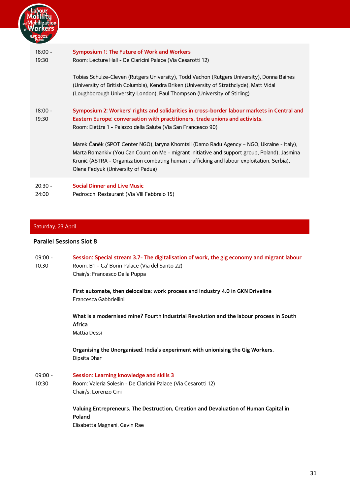

### <span id="page-33-1"></span><span id="page-33-0"></span>Saturday, 23 April

### <span id="page-33-2"></span>**Parallel Sessions Slot 8**

| $09:00 -$<br>10:30 | Session: Special stream 3.7- The digitalisation of work, the gig economy and migrant labour<br>Room: B1 - Ca' Borin Palace (Via del Santo 22)<br>Chair/s: Francesco Della Puppa |
|--------------------|---------------------------------------------------------------------------------------------------------------------------------------------------------------------------------|
|                    | First automate, then delocalize: work process and Industry 4.0 in GKN Driveline<br>Francesca Gabbriellini                                                                       |
|                    | What is a modernised mine? Fourth Industrial Revolution and the labour process in South<br>Africa<br>Mattia Dessì                                                               |
|                    | Organising the Unorganised: India's experiment with unionising the Gig Workers.<br>Dipsita Dhar                                                                                 |
| $09:00 -$<br>10:30 | Session: Learning knowledge and skills 3<br>Room: Valeria Solesin - De Claricini Palace (Via Cesarotti 12)<br>Chair/s: Lorenzo Cini                                             |
|                    | Valuing Entrepreneurs. The Destruction, Creation and Devaluation of Human Capital in<br>Poland<br>Elisabetta Magnani, Gavin Rae                                                 |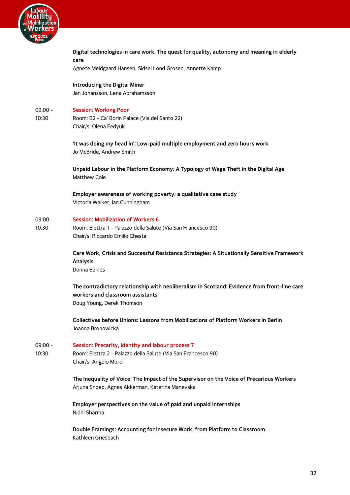

09:00 - 10:30

09:00 - 10:30

09:00 - 10:30

| care |                                                                                              |
|------|----------------------------------------------------------------------------------------------|
|      | Agnete Meldgaard Hansen, Sidsel Lond Grosen, Annette Kamp                                    |
|      | <b>Introducing the Digital Miner</b>                                                         |
|      | Jan Johansson, Lena Abrahamsson                                                              |
|      |                                                                                              |
|      | <b>Session: Working Poor</b>                                                                 |
|      | Room: B2 - Ca' Borin Palace (Via del Santo 22)                                               |
|      | Chair/s: Olena Fedyuk                                                                        |
|      | 'It was doing my head in': Low-paid multiple employment and zero hours work                  |
|      | Jo McBride, Andrew Smith                                                                     |
|      |                                                                                              |
|      | Unpaid Labour in the Platform Economy: A Typology of Wage Theft in the Digital Age           |
|      | Matthew Cole                                                                                 |
|      | Employer awareness of working poverty: a qualitative case study                              |
|      | Victoria Walker, Ian Cunningham                                                              |
|      |                                                                                              |
|      | <b>Session: Mobilization of Workers 6</b>                                                    |
|      | Room: Elettra 1 - Palazzo della Salute (Via San Francesco 90)                                |
|      | Chair/s: Riccardo Emilio Chesta                                                              |
|      | Care Work, Crisis and Successful Resistance Strategies: A Situationally Sensitive Framework  |
|      | Analysis                                                                                     |
|      | Donna Baines                                                                                 |
|      |                                                                                              |
|      | The contradictory relationship with neoliberalism in Scotland: Evidence from front-line care |
|      | workers and classroom assistants                                                             |
|      | Doug Young, Derek Thomson                                                                    |
|      | <b>Collectives before Unions: Lessons from Mobilizations of Platform Workers in Berlin</b>   |
|      | Joanna Bronowicka                                                                            |
|      |                                                                                              |
|      | Session: Precarity, identity and labour process 7                                            |
|      | Room: Elettra 2 - Palazzo della Salute (Via San Francesco 90)                                |
|      | Chair/s: Angelo Moro                                                                         |
|      | The Inequality of Voice: The Impact of the Supervisor on the Voice of Precarious Workers     |
|      | Arjuna Snoep, Agnes Akkerman, Katerina Manevska                                              |
|      |                                                                                              |
|      | Employer perspectives on the value of paid and unpaid internships                            |
|      | Nidhi Sharma                                                                                 |
|      |                                                                                              |
|      | Double Framings: Accounting for Insecure Work, from Platform to Classroom                    |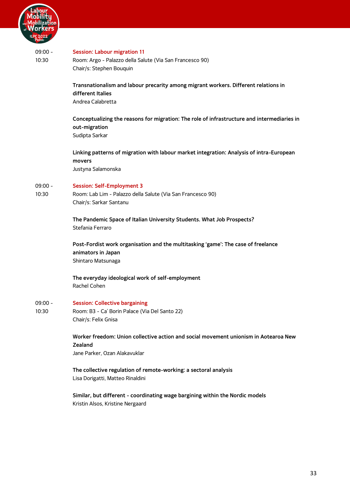

| PC 2022<br>Padua   |                                                                                                                                  |
|--------------------|----------------------------------------------------------------------------------------------------------------------------------|
| $09:00 -$<br>10:30 | <b>Session: Labour migration 11</b><br>Room: Argo - Palazzo della Salute (Via San Francesco 90)<br>Chair/s: Stephen Bouquin      |
|                    | Transnationalism and labour precarity among migrant workers. Different relations in<br>different Italies<br>Andrea Calabretta    |
|                    | Conceptualizing the reasons for migration: The role of infrastructure and intermediaries in<br>out-migration<br>Sudipta Sarkar   |
|                    | Linking patterns of migration with labour market integration: Analysis of intra-European<br>movers<br>Justyna Salamonska         |
| $09:00 -$<br>10:30 | <b>Session: Self-Employment 3</b><br>Room: Lab Lim - Palazzo della Salute (Via San Francesco 90)<br>Chair/s: Sarkar Santanu      |
|                    | The Pandemic Space of Italian University Students. What Job Prospects?<br>Stefania Ferraro                                       |
|                    | Post-Fordist work organisation and the multitasking 'game': The case of freelance<br>animators in Japan<br>Shintaro Matsunaga    |
|                    | The everyday ideological work of self-employment<br>Rachel Cohen                                                                 |
| $09:00 -$<br>10:30 | <b>Session: Collective bargaining</b><br>Room: B3 - Ca' Borin Palace (Via Del Santo 22)<br>Chair/s: Felix Gnisa                  |
|                    | Worker freedom: Union collective action and social movement unionism in Aotearoa New<br>Zealand<br>Jane Parker, Ozan Alakavuklar |
|                    | The collective regulation of remote-working: a sectoral analysis<br>Lisa Dorigatti, Matteo Rinaldini                             |
|                    | Similar, but different - coordinating wage bargining within the Nordic models<br>Kristin Alsos, Kristine Nergaard                |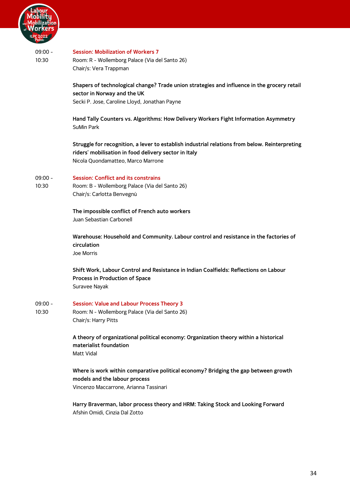

#### 09:00 - 10:30 **Session: Mobilization of Workers 7** Room: R - Wollemborg Palace (Via del Santo 26) Chair/s: Vera Trappman

**Shapers of technological change? Trade union strategies and influence in the grocery retail sector in Norway and the UK** Secki P. Jose, Caroline Lloyd, Jonathan Payne

**Hand Tally Counters vs. Algorithms: How Delivery Workers Fight Information Asymmetry** SuMin Park

**Struggle for recognition, a lever to establish industrial relations from below. Reinterpreting riders' mobilisation in food delivery sector in Italy** Nicola Quondamatteo, Marco Marrone

#### 09:00 - **Session: Conflict and its constrains**

10:30 Room: B - Wollemborg Palace (Via del Santo 26) Chair/s: Carlotta Benvegnù

> **The impossible conflict of French auto workers** Juan Sebastian Carbonell

**Warehouse: Household and Community. Labour control and resistance in the factories of circulation**  Joe Morris

**Shift Work, Labour Control and Resistance in Indian Coalfields: Reflections on Labour Process in Production of Space** Suravee Nayak

#### 09:00 - **Session: Value and Labour Process Theory 3**

10:30 Room: N - Wollemborg Palace (Via del Santo 26) Chair/s: Harry Pitts

> **A theory of organizational political economy: Organization theory within a historical materialist foundation** Matt Vidal

**Where is work within comparative political economy? Bridging the gap between growth models and the labour process** Vincenzo Maccarrone, Arianna Tassinari

**Harry Braverman, labor process theory and HRM: Taking Stock and Looking Forward** Afshin Omidi, Cinzia Dal Zotto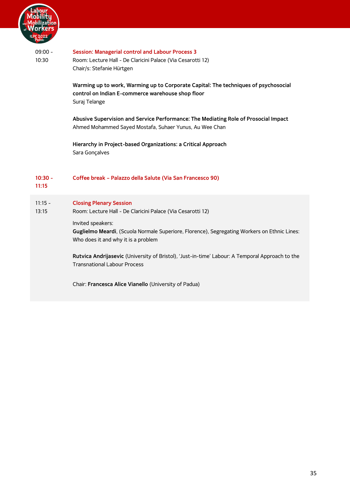

<span id="page-37-0"></span>

| $09:00 -$<br>10:30 | <b>Session: Managerial control and Labour Process 3</b><br>Room: Lecture Hall - De Claricini Palace (Via Cesarotti 12)<br>Chair/s: Stefanie Hürtgen<br>Warming up to work, Warming up to Corporate Capital: The techniques of psychosocial<br>control on Indian E-commerce warehouse shop floor<br>Suraj Telange |
|--------------------|------------------------------------------------------------------------------------------------------------------------------------------------------------------------------------------------------------------------------------------------------------------------------------------------------------------|
|                    | Abusive Supervision and Service Performance: The Mediating Role of Prosocial Impact<br>Ahmed Mohammed Sayed Mostafa, Suhaer Yunus, Au Wee Chan                                                                                                                                                                   |
|                    | Hierarchy in Project-based Organizations: a Critical Approach<br>Sara Gonçalves                                                                                                                                                                                                                                  |
| $10:30 -$<br>11:15 | Coffee break - Palazzo della Salute (Via San Francesco 90)                                                                                                                                                                                                                                                       |
| $11:15 -$<br>13:15 | <b>Closing Plenary Session</b><br>Room: Lecture Hall - De Claricini Palace (Via Cesarotti 12)<br>Invited speakers:                                                                                                                                                                                               |
|                    | Guglielmo Meardi, (Scuola Normale Superiore, Florence), Segregating Workers on Ethnic Lines:<br>Who does it and why it is a problem                                                                                                                                                                              |
|                    | Rutvica Andrijasevic (University of Bristol), 'Just-in-time' Labour: A Temporal Approach to the<br><b>Transnational Labour Process</b>                                                                                                                                                                           |
|                    | Chair: Francesca Alice Vianello (University of Padua)                                                                                                                                                                                                                                                            |